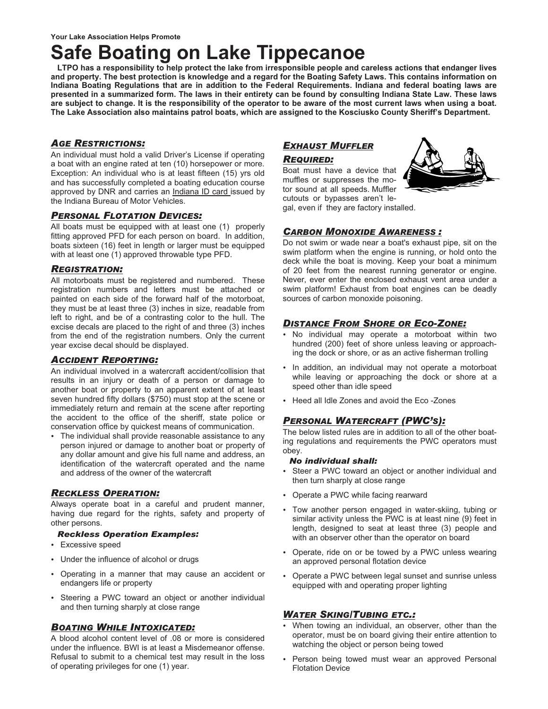## **Safe Boating on Lake Tippecanoe**

**LTPO has a responsibility to help protect the lake from irresponsible people and careless actions that endanger lives and property. The best protection is knowledge and a regard for the Boating Safety Laws. This contains information on Indiana Boating Regulations that are in addition to the Federal Requirements. Indiana and federal boating laws are presented in a summarized form. The laws in their entirety can be found by consulting Indiana State Law. These laws are subject to change. It is the responsibility of the operator to be aware of the most current laws when using a boat. The Lake Association also maintains patrol boats, which are assigned to the Kosciusko County Sheriff's Department.** 

#### *AGE RESTRICTIONS:*

An individual must hold a valid Driver's License if operating a boat with an engine rated at ten (10) horsepower or more. Exception: An individual who is at least fifteen (15) yrs old and has successfully completed a boating education course approved by DNR and carries an Indiana ID card issued by the Indiana Bureau of Motor Vehicles.

#### *PERSONAL FLOTATION DEVICES:*

All boats must be equipped with at least one (1) properly fitting approved PFD for each person on board. In addition, boats sixteen (16) feet in length or larger must be equipped with at least one (1) approved throwable type PFD.

#### *REGISTRATION:*

All motorboats must be registered and numbered. These registration numbers and letters must be attached or painted on each side of the forward half of the motorboat, they must be at least three (3) inches in size, readable from left to right, and be of a contrasting color to the hull. The excise decals are placed to the right of and three (3) inches from the end of the registration numbers. Only the current year excise decal should be displayed.

#### *ACCIDENT REPORTING:*

An individual involved in a watercraft accident/collision that results in an injury or death of a person or damage to another boat or property to an apparent extent of at least seven hundred fifty dollars (\$750) must stop at the scene or immediately return and remain at the scene after reporting the accident to the office of the sheriff, state police or conservation office by quickest means of communication.

-The individual shall provide reasonable assistance to any person injured or damage to another boat or property of any dollar amount and give his full name and address, an identification of the watercraft operated and the name and address of the owner of the watercraft

#### *RECKLESS OPERATION:*

Always operate boat in a careful and prudent manner, having due regard for the rights, safety and property of other persons.

#### *Reckless Operation Examples:*

- -Excessive speed
- -Under the influence of alcohol or drugs
- -Operating in a manner that may cause an accident or endangers life or property
- -Steering a PWC toward an object or another individual and then turning sharply at close range

#### *BOATING WHILE INTOXICATED:*

A blood alcohol content level of .08 or more is considered under the influence. BWI is at least a Misdemeanor offense. Refusal to submit to a chemical test may result in the loss of operating privileges for one (1) year.

#### *EXHAUST MUFFLER*

#### *REQUIRED:*

Boat must have a device that muffles or suppresses the motor sound at all speeds. Muffler cutouts or bypasses aren't legal, even if they are factory installed.

#### *CARBON MONOXIDE AWARENESS :*

Do not swim or wade near a boat's exhaust pipe, sit on the swim platform when the engine is running, or hold onto the deck while the boat is moving. Keep your boat a minimum of 20 feet from the nearest running generator or engine. Never, ever enter the enclosed exhaust vent area under a swim platform! Exhaust from boat engines can be deadly sources of carbon monoxide poisoning.

#### *DISTANCE FROM SHORE OR ECO-ZONE:*

- -No individual may operate a motorboat within two hundred (200) feet of shore unless leaving or approaching the dock or shore, or as an active fisherman trolling
- -In addition, an individual may not operate a motorboat while leaving or approaching the dock or shore at a speed other than idle speed
- -Heed all Idle Zones and avoid the Eco -Zones

#### *PERSONAL WATERCRAFT (PWC'S):*

The below listed rules are in addition to all of the other boating regulations and requirements the PWC operators must obey.

#### *No individual shall:*

- -Steer a PWC toward an object or another individual and then turn sharply at close range
- -Operate a PWC while facing rearward
- -Tow another person engaged in water-skiing, tubing or similar activity unless the PWC is at least nine (9) feet in length, designed to seat at least three (3) people and with an observer other than the operator on board
- -Operate, ride on or be towed by a PWC unless wearing an approved personal flotation device
- -Operate a PWC between legal sunset and sunrise unless equipped with and operating proper lighting

#### *WATER SKING/TUBING ETC.:*

- -When towing an individual, an observer, other than the operator, must be on board giving their entire attention to watching the object or person being towed
- -Person being towed must wear an approved Personal Flotation Device

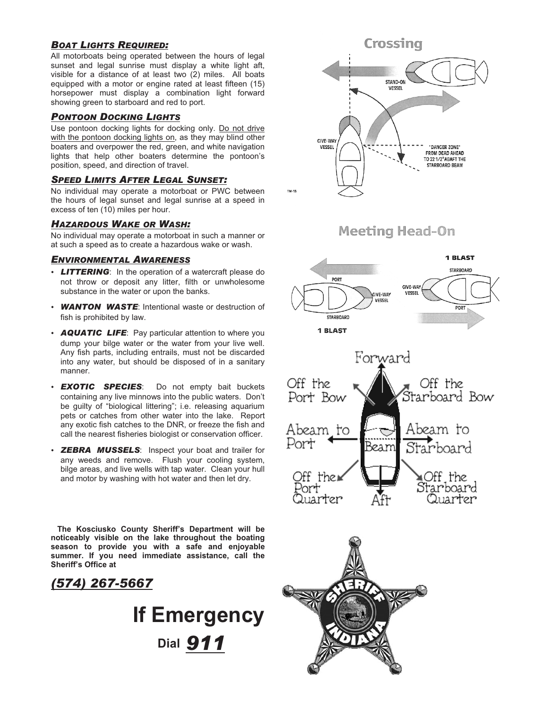#### *BOAT LIGHTS REQUIRED:*

All motorboats being operated between the hours of legal sunset and legal sunrise must display a white light aft, visible for a distance of at least two (2) miles. All boats equipped with a motor or engine rated at least fifteen (15) horsepower must display a combination light forward showing green to starboard and red to port.

#### *PONTOON DOCKING LIGHTS*

Use pontoon docking lights for docking only. Do not drive with the pontoon docking lights on, as they may blind other boaters and overpower the red, green, and white navigation lights that help other boaters determine the pontoon's position, speed, and direction of travel.

#### *SPEED LIMITS AFTER LEGAL SUNSET:*

No individual may operate a motorboat or PWC between the hours of legal sunset and legal sunrise at a speed in excess of ten (10) miles per hour.

#### *HAZARDOUS WAKE OR WASH:*

No individual may operate a motorboat in such a manner or at such a speed as to create a hazardous wake or wash.

#### *ENVIRONMENTAL AWARENESS*

- **LITTERING**: In the operation of a watercraft please do not throw or deposit any litter, filth or unwholesome substance in the water or upon the banks.
- -*WANTON WASTE*: Intentional waste or destruction of fish is prohibited by law.
- **AQUATIC LIFE:** Pay particular attention to where you dump your bilge water or the water from your live well. Any fish parts, including entrails, must not be discarded into any water, but should be disposed of in a sanitary manner.
- -*EXOTIC SPECIES*: Do not empty bait buckets containing any live minnows into the public waters. Don't be guilty of "biological littering"; i.e. releasing aquarium pets or catches from other water into the lake. Report any exotic fish catches to the DNR, or freeze the fish and call the nearest fisheries biologist or conservation officer.
- **ZEBRA MUSSELS:** Inspect your boat and trailer for any weeds and remove. Flush your cooling system, bilge areas, and live wells with tap water. Clean your hull and motor by washing with hot water and then let dry.

**The Kosciusko County Sheriff's Department will be noticeably visible on the lake throughout the boating season to provide you with a safe and enjoyable summer. If you need immediate assistance, call the Sheriff's Office at** 

### *(574) 267-5667*

## **If Emergency Dial** *911*

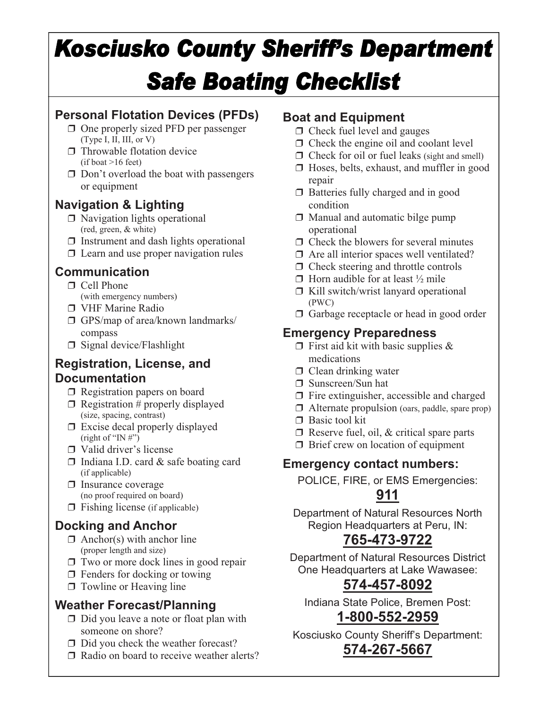# **Kosciusko County Sheriff's Department Safe Boating Checklist**

## **Personal Flotation Devices (PFDs)**

- $\Box$  One properly sized PFD per passenger (Type I, II, III, or V)
- $\Box$  Throwable flotation device (if boat >16 feet)
- $\Box$  Don't overload the boat with passengers or equipment

## **Navigation & Lighting**

- $\Box$  Navigation lights operational (red, green, & white)
- $\Box$  Instrument and dash lights operational
- $\Box$  Learn and use proper navigation rules

## **Communication**

- □ Cell Phone
	- (with emergency numbers)
- VHF Marine Radio
- GPS/map of area/known landmarks/ compass
- $\Box$  Signal device/Flashlight

## **Registration, License, and Documentation**

- $\Box$  Registration papers on board
- $\Box$  Registration # properly displayed (size, spacing, contrast)
- $\Box$  Excise decal properly displayed (right of "IN  $\sharp$ ")
- □ Valid driver's license
- $\Box$  Indiana I.D. card & safe boating card (if applicable)
- $\Box$  Insurance coverage (no proof required on board)
- $\Box$  Fishing license (if applicable)

## **Docking and Anchor**

- $\Box$  Anchor(s) with anchor line (proper length and size)
- $\Box$  Two or more dock lines in good repair
- $\Box$  Fenders for docking or towing
- $\Box$  Towline or Heaving line

## **Weather Forecast/Planning**

- $\Box$  Did you leave a note or float plan with someone on shore?
- $\Box$  Did you check the weather forecast?
- Radio on board to receive weather alerts?

## **Boat and Equipment**

- $\Box$  Check fuel level and gauges
- $\Box$  Check the engine oil and coolant level
- $\Box$  Check for oil or fuel leaks (sight and smell)
- $\Box$  Hoses, belts, exhaust, and muffler in good repair
- $\Box$  Batteries fully charged and in good condition
- $\Box$  Manual and automatic bilge pump operational
- $\Box$  Check the blowers for several minutes
- $\Box$  Are all interior spaces well ventilated?
- $\Box$  Check steering and throttle controls
- $\Box$  Horn audible for at least  $\frac{1}{2}$  mile
- $\Box$  Kill switch/wrist lanyard operational (PWC)
- $\Box$  Garbage receptacle or head in good order

## **Emergency Preparedness**

- $\Box$  First aid kit with basic supplies & medications
- $\Box$  Clean drinking water
- Sunscreen/Sun hat
- $\Box$  Fire extinguisher, accessible and charged
- $\Box$  Alternate propulsion (oars, paddle, spare prop)
- $\Box$  Basic tool kit
- $\Box$  Reserve fuel, oil, & critical spare parts
- $\Box$  Brief crew on location of equipment

## **Emergency contact numbers:**

POLICE, FIRE, or EMS Emergencies:

## **911**

Department of Natural Resources North Region Headquarters at Peru, IN:

## **765-473-9722**

Department of Natural Resources District One Headquarters at Lake Wawasee:

## **574-457-8092**

Indiana State Police, Bremen Post:

## **1-800-552-2959**

Kosciusko County Sheriff's Department: **574-267-5667**